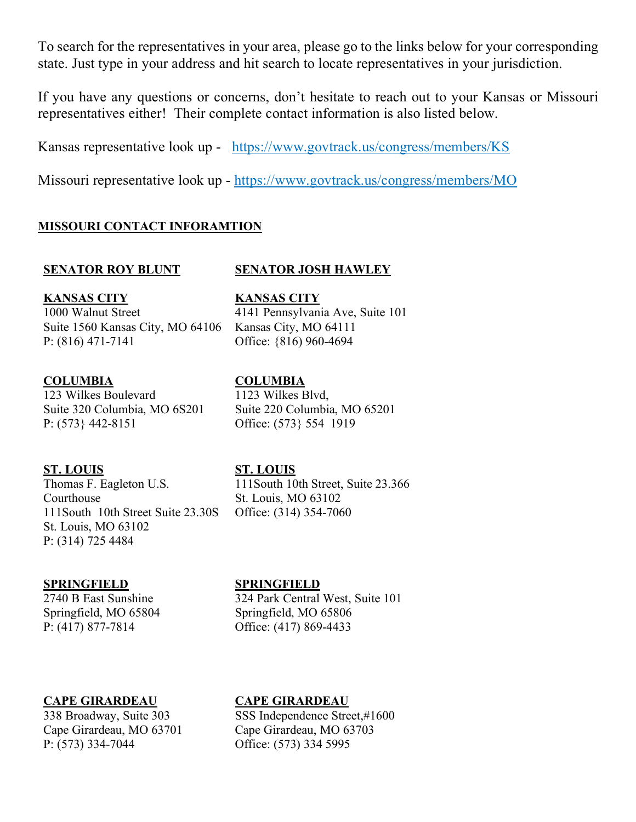To search for the representatives in your area, please go to the links below for your corresponding state. Just type in your address and hit search to locate representatives in your jurisdiction.

If you have any questions or concerns, don't hesitate to reach out to your Kansas or Missouri representatives either! Their complete contact information is also listed below.

Kansas representative look up - https://www.govtrack.us/congress/members/KS

Missouri representative look up - https://www.govtrack.us/congress/members/MO

**KANSAS CITY**

Kansas City, MO 64111 Office: {816) 960-4694

Office: (573} 554 1919

# **MISSOURI CONTACT INFORAMTION**

## **SENATOR ROY BLUNT SENATOR JOSH HAWLEY**

4141 Pennsylvania Ave, Suite 101

## **KANSAS CITY**

1000 Walnut Street Suite 1560 Kansas City, MO 64106 P: (816) 471-7141

# **COLUMBIA**

123 Wilkes Boulevard Suite 320 Columbia, MO 6S201 P: (573} 442-8151

### **ST. LOUIS**

Thomas F. Eagleton U.S. Courthouse 111South 10th Street Suite 23.30S St. Louis, MO 63102 P: (314) 725 4484

### **ST. LOUIS**

**COLUMBIA** 1123 Wilkes Blvd,

111South 10th Street, Suite 23.366 St. Louis, MO 63102 Office: (314) 354-7060

Suite 220 Columbia, MO 65201

### **SPRINGFIELD**

2740 B East Sunshine Springfield, MO 65804 P: (417) 877-7814

### **SPRINGFIELD**

324 Park Central West, Suite 101 Springfield, MO 65806 Office: (417) 869-4433

# **CAPE GIRARDEAU**

338 Broadway, Suite 303 Cape Girardeau, MO 63701 P: (573) 334-7044

### **CAPE GIRARDEAU**

SSS Independence Street,#1600 Cape Girardeau, MO 63703 Office: (573) 334 5995